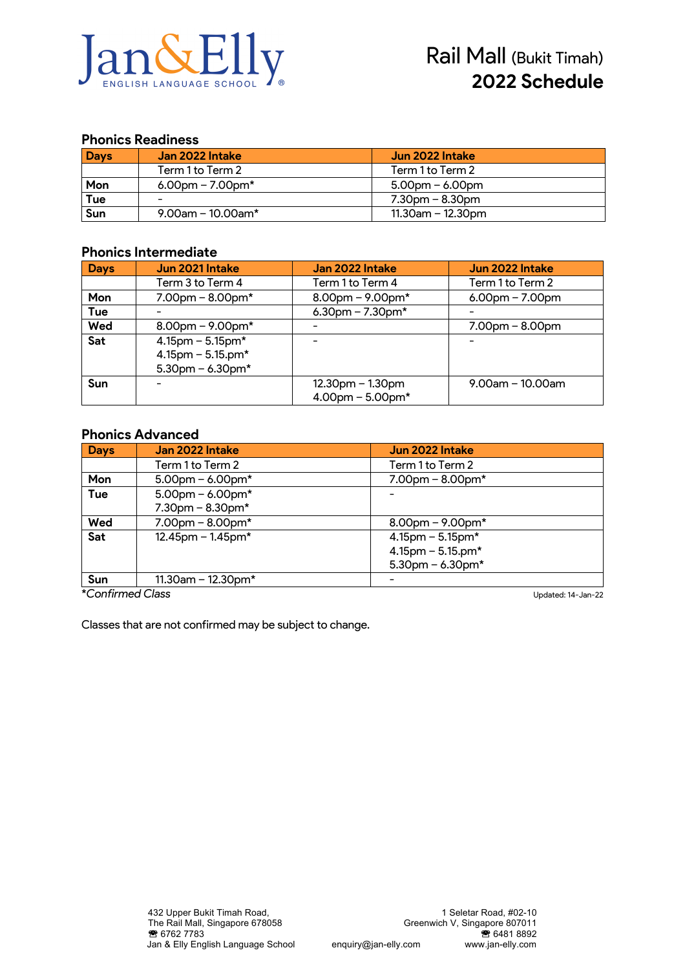

### **Phonics Readiness**

| <b>Days</b> | Jan 2022 Intake          | Jun 2022 Intake      |
|-------------|--------------------------|----------------------|
|             | Term 1 to Term 2         | Term 1 to Term 2     |
| Mon         | $6.00$ pm – 7.00pm*      | $5.00$ pm – 6.00pm   |
| Tue         | $\overline{\phantom{0}}$ | $7.30$ pm – 8.30pm   |
| Sun         | $9.00$ am – 10.00am*     | $11.30$ am – 12.30pm |

### **Phonics Intermediate**

| <b>Days</b> | Jun 2021 Intake        | Jan 2022 Intake        | Jun 2022 Intake     |
|-------------|------------------------|------------------------|---------------------|
|             | Term 3 to Term 4       | Term 1 to Term 4       | Term 1 to Term 2    |
| Mon         | $7.00$ pm – $8.00$ pm* | $8.00$ pm – 9.00pm*    | $6.00$ pm – 7.00pm  |
| Tue         |                        | 6.30pm $- 7.30$ pm*    |                     |
| Wed         | $8.00$ pm – 9.00pm*    |                        | $7.00pm - 8.00pm$   |
| Sat         | $4.15$ pm – 5.15pm*    |                        |                     |
|             | $4.15$ pm - 5.15.pm*   |                        |                     |
|             | $5.30$ pm – 6.30pm*    |                        |                     |
| Sun         |                        | $12.30pm - 1.30pm$     | $9.00$ am - 10.00am |
|             |                        | $4.00$ pm - $5.00$ pm* |                     |

### **Phonics Advanced**

| <b>Days</b>      | Jan 2022 Intake         | Jun 2022 Intake          |
|------------------|-------------------------|--------------------------|
|                  | Term 1 to Term 2        | Term 1 to Term 2         |
| Mon              | $5.00$ pm – 6.00pm*     | $7.00$ pm – 8.00pm*      |
| Tue              | $5.00$ pm – 6.00pm*     |                          |
|                  | $7.30$ pm - $8.30$ pm*  |                          |
| Wed              | $7.00$ pm - $8.00$ pm*  | $8.00$ pm – 9.00pm*      |
| Sat              | $12.45$ pm – $1.45$ pm* | $4.15$ pm – 5.15pm*      |
|                  |                         | $4.15$ pm - 5.15.pm*     |
|                  |                         | $5.30$ pm – 6.30pm*      |
| Sun              | 11.30am – 12.30pm*      | $\overline{\phantom{0}}$ |
| *Confirmed Class |                         | Updated: 14-Jan-22       |

Classes that are not confirmed may be subject to change.